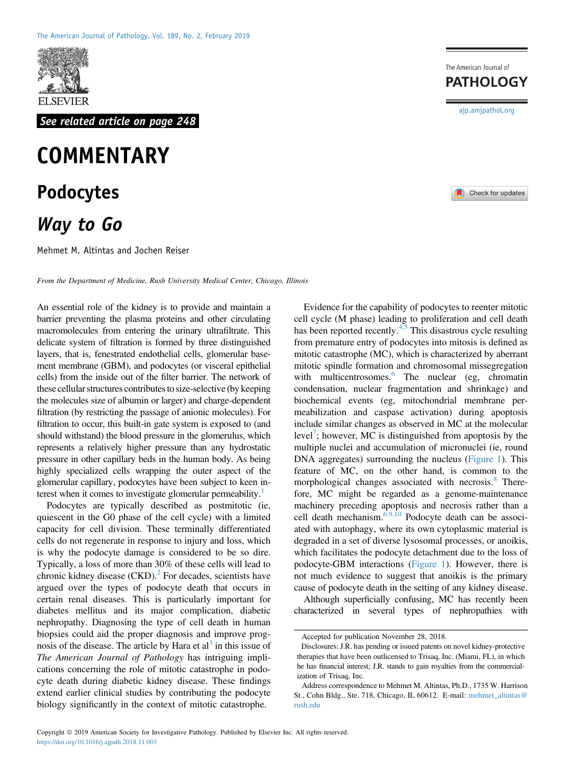

See related article on page 248

## **COMMENTARY** Podocytes Way to Go

Mehmet M. Altintas and Jochen Reiser

From the Department of Medicine, Rush University Medical Center, Chicago, Illinois

An essential role of the kidney is to provide and maintain a barrier preventing the plasma proteins and other circulating macromolecules from entering the urinary ultrafiltrate. This delicate system of filtration is formed by three distinguished layers, that is, fenestrated endothelial cells, glomerular basement membrane (GBM), and podocytes (or visceral epithelial cells) from the inside out of the filter barrier. The network of these cellular structures contributes to size-selective (by keeping the molecules size of albumin or larger) and charge-dependent filtration (by restricting the passage of anionic molecules). For filtration to occur, this built-in gate system is exposed to (and should withstand) the blood pressure in the glomerulus, which represents a relatively higher pressure than any hydrostatic pressure in other capillary beds in the human body. As being highly specialized cells wrapping the outer aspect of the glomerular capillary, podocytes have been subject to keen interest when it comes to investigate glomerular permeability. $<sup>1</sup>$ </sup>

Podocytes are typically described as postmitotic (ie, quiescent in the G0 phase of the cell cycle) with a limited capacity for cell division. These terminally differentiated cells do not regenerate in response to injury and loss, which is why the podocyte damage is considered to be so dire. Typically, a loss of more than 30% of these cells will lead to chronic kidney disease  $(CKD)$ <sup>[2](#page-2-1)</sup>. For decades, scientists have argued over the types of podocyte death that occurs in certain renal diseases. This is particularly important for diabetes mellitus and its major complication, diabetic nephropathy. Diagnosing the type of cell death in human biopsies could aid the proper diagnosis and improve prognosis of the disease. The article by Hara et  $al<sup>3</sup>$  $al<sup>3</sup>$  $al<sup>3</sup>$  in this issue of The American Journal of Pathology has intriguing implications concerning the role of mitotic catastrophe in podocyte death during diabetic kidney disease. These findings extend earlier clinical studies by contributing the podocyte biology significantly in the context of mitotic catastrophe.

The American Journal of **PATHOLOGY** [ajp.amjpathol.org](http://ajp.amjpathol.org)



Evidence for the capability of podocytes to reenter mitotic cell cycle (M phase) leading to proliferation and cell death has been reported recently.<sup>[4,5](#page-2-3)</sup> This disastrous cycle resulting from premature entry of podocytes into mitosis is defined as mitotic catastrophe (MC), which is characterized by aberrant mitotic spindle formation and chromosomal missegregation with multicentrosomes.<sup>[6](#page-2-4)</sup> The nuclear (eg, chromatin condensation, nuclear fragmentation and shrinkage) and biochemical events (eg, mitochondrial membrane permeabilization and caspase activation) during apoptosis include similar changes as observed in MC at the molecular level<sup>[7](#page-2-5)</sup>; however, MC is distinguished from apoptosis by the multiple nuclei and accumulation of micronuclei (ie, round DNA aggregates) surrounding the nucleus ([Figure 1](#page-1-0)). This feature of MC, on the other hand, is common to the morphological changes associated with necrosis.<sup>[8](#page-2-6)</sup> Therefore, MC might be regarded as a genome-maintenance machinery preceding apoptosis and necrosis rather than a cell death mechanism. $\frac{6,9,10}{9}$  $\frac{6,9,10}{9}$  $\frac{6,9,10}{9}$  Podocyte death can be associated with autophagy, where its own cytoplasmic material is degraded in a set of diverse lysosomal processes, or anoikis, which facilitates the podocyte detachment due to the loss of podocyte-GBM interactions [\(Figure 1](#page-1-0)). However, there is not much evidence to suggest that anoikis is the primary cause of podocyte death in the setting of any kidney disease.

Although superficially confusing, MC has recently been characterized in several types of nephropathies with

Accepted for publication November 28, 2018.

Disclosures: J.R. has pending or issued patents on novel kidney-protective therapies that have been outlicensed to Trisaq, Inc. (Miami, FL), in which he has financial interest; J.R. stands to gain royalties from the commercialization of Trisaq, Inc.

Address correspondence to Mehmet M. Altintas, Ph.D., 1735 W. Harrison St., Cohn Bldg., Ste. 718, Chicago, IL 60612. E-mail: [mehmet\\_altintas@](mailto:mehmet_altintas@rush.edu) [rush.edu](mailto:mehmet_altintas@rush.edu)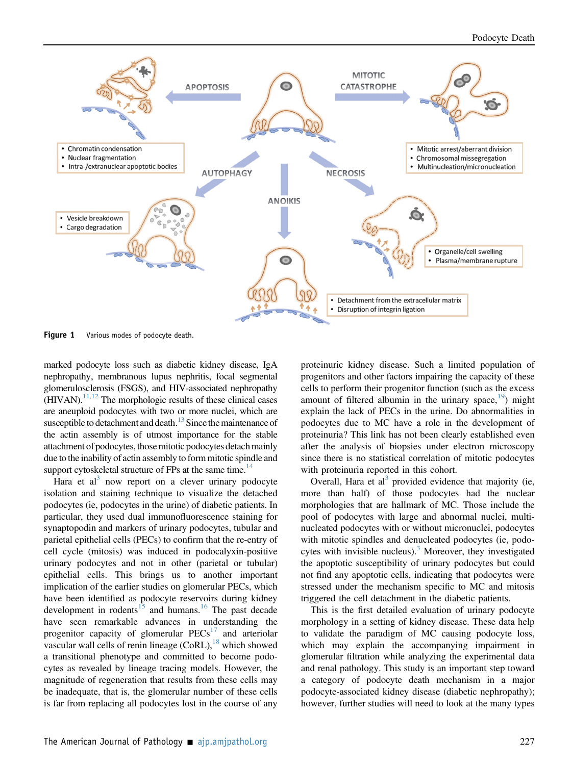<span id="page-1-0"></span>

Figure 1 Various modes of podocyte death.

marked podocyte loss such as diabetic kidney disease, IgA nephropathy, membranous lupus nephritis, focal segmental glomerulosclerosis (FSGS), and HIV-associated nephropathy  $(HIVAN).$ <sup>11,12</sup> The morphologic results of these clinical cases are aneuploid podocytes with two or more nuclei, which are susceptible to detachment and death.<sup>[13](#page-2-8)</sup> Since the maintenance of the actin assembly is of utmost importance for the stable attachment of podocytes, those mitotic podocytes detach mainly due to the inability of actin assembly to form mitotic spindle and support cytoskeletal structure of FPs at the same time.<sup>14</sup>

Hara et al<sup>[3](#page-2-2)</sup> now report on a clever urinary podocyte isolation and staining technique to visualize the detached podocytes (ie, podocytes in the urine) of diabetic patients. In particular, they used dual immunofluorescence staining for synaptopodin and markers of urinary podocytes, tubular and parietal epithelial cells (PECs) to confirm that the re-entry of cell cycle (mitosis) was induced in podocalyxin-positive urinary podocytes and not in other (parietal or tubular) epithelial cells. This brings us to another important implication of the earlier studies on glomerular PECs, which have been identified as podocyte reservoirs during kidney development in rodents<sup>[15](#page-2-10)</sup> and humans.<sup>[16](#page-2-11)</sup> The past decade have seen remarkable advances in understanding the progenitor capacity of glomerular  $PECs<sup>17</sup>$  $PECs<sup>17</sup>$  $PECs<sup>17</sup>$  and arteriolar vascular wall cells of renin lineage  $(CoRL)$ ,<sup>[18](#page-2-13)</sup> which showed a transitional phenotype and committed to become podocytes as revealed by lineage tracing models. However, the magnitude of regeneration that results from these cells may be inadequate, that is, the glomerular number of these cells is far from replacing all podocytes lost in the course of any proteinuric kidney disease. Such a limited population of progenitors and other factors impairing the capacity of these cells to perform their progenitor function (such as the excess amount of filtered albumin in the urinary space,  $\frac{19}{2}$  $\frac{19}{2}$  $\frac{19}{2}$  might explain the lack of PECs in the urine. Do abnormalities in podocytes due to MC have a role in the development of proteinuria? This link has not been clearly established even after the analysis of biopsies under electron microscopy since there is no statistical correlation of mitotic podocytes with proteinuria reported in this cohort.

Overall, Hara et al<sup>[3](#page-2-2)</sup> provided evidence that majority (ie, more than half) of those podocytes had the nuclear morphologies that are hallmark of MC. Those include the pool of podocytes with large and abnormal nuclei, multinucleated podocytes with or without micronuclei, podocytes with mitotic spindles and denucleated podocytes (ie, podocytes with invisible nucleus). $3$  Moreover, they investigated the apoptotic susceptibility of urinary podocytes but could not find any apoptotic cells, indicating that podocytes were stressed under the mechanism specific to MC and mitosis triggered the cell detachment in the diabetic patients.

This is the first detailed evaluation of urinary podocyte morphology in a setting of kidney disease. These data help to validate the paradigm of MC causing podocyte loss, which may explain the accompanying impairment in glomerular filtration while analyzing the experimental data and renal pathology. This study is an important step toward a category of podocyte death mechanism in a major podocyte-associated kidney disease (diabetic nephropathy); however, further studies will need to look at the many types